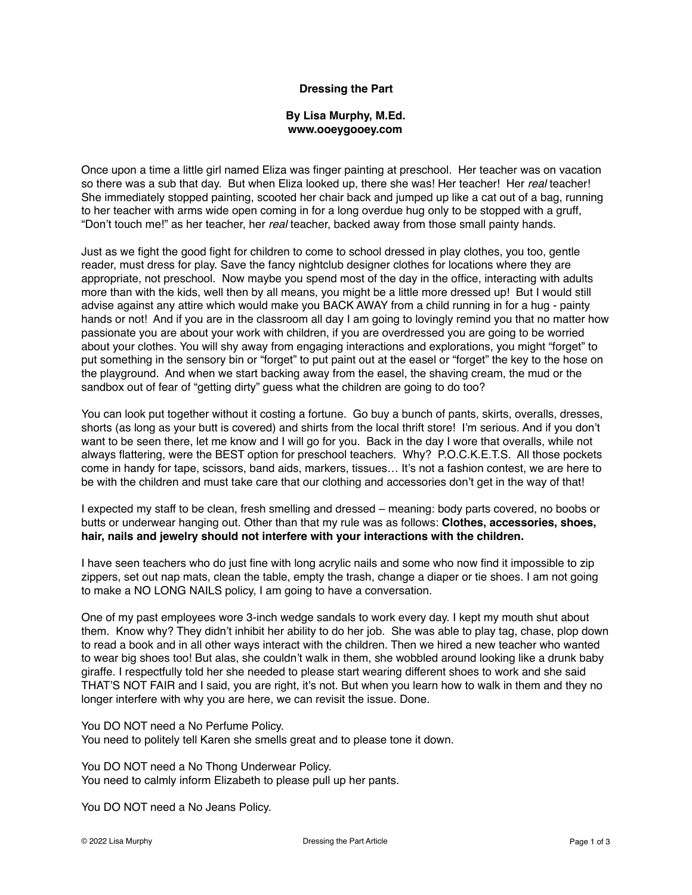## **Dressing the Part**

## **By Lisa Murphy, M.Ed. www.ooeygooey.com**

Once upon a time a little girl named Eliza was finger painting at preschool. Her teacher was on vacation so there was a sub that day. But when Eliza looked up, there she was! Her teacher! Her *real* teacher! She immediately stopped painting, scooted her chair back and jumped up like a cat out of a bag, running to her teacher with arms wide open coming in for a long overdue hug only to be stopped with a gruff, "Don't touch me!" as her teacher, her *real* teacher, backed away from those small painty hands.

Just as we fight the good fight for children to come to school dressed in play clothes, you too, gentle reader, must dress for play. Save the fancy nightclub designer clothes for locations where they are appropriate, not preschool. Now maybe you spend most of the day in the office, interacting with adults more than with the kids, well then by all means, you might be a little more dressed up! But I would still advise against any attire which would make you BACK AWAY from a child running in for a hug - painty hands or not! And if you are in the classroom all day I am going to lovingly remind you that no matter how passionate you are about your work with children, if you are overdressed you are going to be worried about your clothes. You will shy away from engaging interactions and explorations, you might "forget" to put something in the sensory bin or "forget" to put paint out at the easel or "forget" the key to the hose on the playground. And when we start backing away from the easel, the shaving cream, the mud or the sandbox out of fear of "getting dirty" guess what the children are going to do too?

You can look put together without it costing a fortune. Go buy a bunch of pants, skirts, overalls, dresses, shorts (as long as your butt is covered) and shirts from the local thrift store! I'm serious. And if you don't want to be seen there, let me know and I will go for you. Back in the day I wore that overalls, while not always flattering, were the BEST option for preschool teachers. Why? P.O.C.K.E.T.S. All those pockets come in handy for tape, scissors, band aids, markers, tissues… It's not a fashion contest, we are here to be with the children and must take care that our clothing and accessories don't get in the way of that!

I expected my staff to be clean, fresh smelling and dressed – meaning: body parts covered, no boobs or butts or underwear hanging out. Other than that my rule was as follows: **Clothes, accessories, shoes, hair, nails and jewelry should not interfere with your interactions with the children.**

I have seen teachers who do just fine with long acrylic nails and some who now find it impossible to zip zippers, set out nap mats, clean the table, empty the trash, change a diaper or tie shoes. I am not going to make a NO LONG NAILS policy, I am going to have a conversation.

One of my past employees wore 3-inch wedge sandals to work every day. I kept my mouth shut about them. Know why? They didn't inhibit her ability to do her job. She was able to play tag, chase, plop down to read a book and in all other ways interact with the children. Then we hired a new teacher who wanted to wear big shoes too! But alas, she couldn't walk in them, she wobbled around looking like a drunk baby giraffe. I respectfully told her she needed to please start wearing different shoes to work and she said THAT'S NOT FAIR and I said, you are right, it's not. But when you learn how to walk in them and they no longer interfere with why you are here, we can revisit the issue. Done.

You DO NOT need a No Perfume Policy. You need to politely tell Karen she smells great and to please tone it down.

You DO NOT need a No Thong Underwear Policy. You need to calmly inform Elizabeth to please pull up her pants.

You DO NOT need a No Jeans Policy.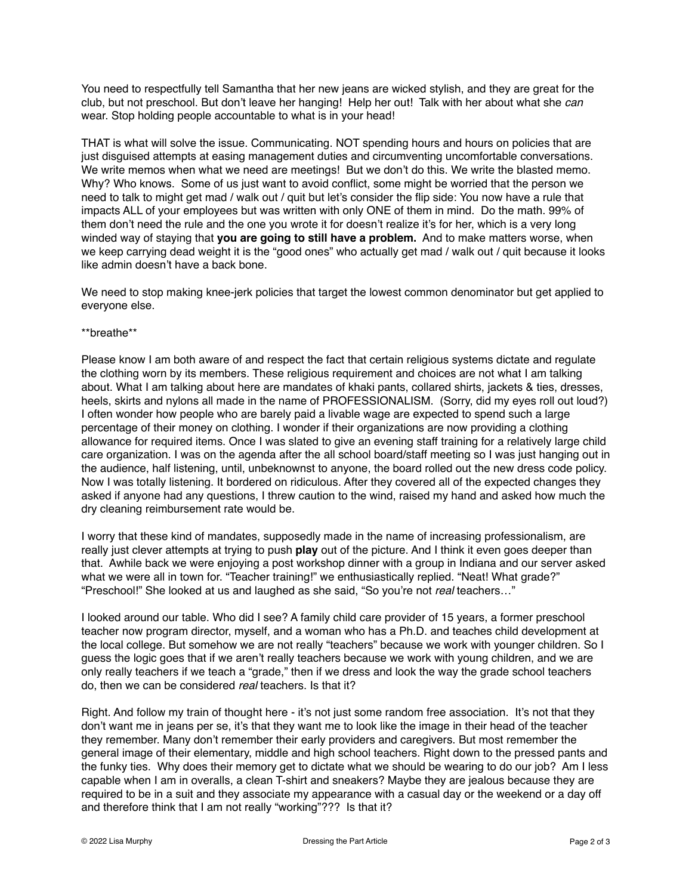You need to respectfully tell Samantha that her new jeans are wicked stylish, and they are great for the club, but not preschool. But don't leave her hanging! Help her out! Talk with her about what she *can* wear. Stop holding people accountable to what is in your head!

THAT is what will solve the issue. Communicating. NOT spending hours and hours on policies that are just disguised attempts at easing management duties and circumventing uncomfortable conversations. We write memos when what we need are meetings! But we don't do this. We write the blasted memo. Why? Who knows. Some of us just want to avoid conflict, some might be worried that the person we need to talk to might get mad / walk out / quit but let's consider the flip side: You now have a rule that impacts ALL of your employees but was written with only ONE of them in mind. Do the math. 99% of them don't need the rule and the one you wrote it for doesn't realize it's for her, which is a very long winded way of staying that **you are going to still have a problem.** And to make matters worse, when we keep carrying dead weight it is the "good ones" who actually get mad / walk out / quit because it looks like admin doesn't have a back bone.

We need to stop making knee-jerk policies that target the lowest common denominator but get applied to everyone else.

## \*\*breathe\*\*

Please know I am both aware of and respect the fact that certain religious systems dictate and regulate the clothing worn by its members. These religious requirement and choices are not what I am talking about. What I am talking about here are mandates of khaki pants, collared shirts, jackets & ties, dresses, heels, skirts and nylons all made in the name of PROFESSIONALISM. (Sorry, did my eyes roll out loud?) I often wonder how people who are barely paid a livable wage are expected to spend such a large percentage of their money on clothing. I wonder if their organizations are now providing a clothing allowance for required items. Once I was slated to give an evening staff training for a relatively large child care organization. I was on the agenda after the all school board/staff meeting so I was just hanging out in the audience, half listening, until, unbeknownst to anyone, the board rolled out the new dress code policy. Now I was totally listening. It bordered on ridiculous. After they covered all of the expected changes they asked if anyone had any questions, I threw caution to the wind, raised my hand and asked how much the dry cleaning reimbursement rate would be.

I worry that these kind of mandates, supposedly made in the name of increasing professionalism, are really just clever attempts at trying to push **play** out of the picture. And I think it even goes deeper than that. Awhile back we were enjoying a post workshop dinner with a group in Indiana and our server asked what we were all in town for. "Teacher training!" we enthusiastically replied. "Neat! What grade?" "Preschool!" She looked at us and laughed as she said, "So you're not *real* teachers…"

I looked around our table. Who did I see? A family child care provider of 15 years, a former preschool teacher now program director, myself, and a woman who has a Ph.D. and teaches child development at the local college. But somehow we are not really "teachers" because we work with younger children. So I guess the logic goes that if we aren't really teachers because we work with young children, and we are only really teachers if we teach a "grade," then if we dress and look the way the grade school teachers do, then we can be considered *real* teachers. Is that it?

Right. And follow my train of thought here - it's not just some random free association. It's not that they don't want me in jeans per se, it's that they want me to look like the image in their head of the teacher they remember. Many don't remember their early providers and caregivers. But most remember the general image of their elementary, middle and high school teachers. Right down to the pressed pants and the funky ties. Why does their memory get to dictate what we should be wearing to do our job? Am I less capable when I am in overalls, a clean T-shirt and sneakers? Maybe they are jealous because they are required to be in a suit and they associate my appearance with a casual day or the weekend or a day off and therefore think that I am not really "working"??? Is that it?